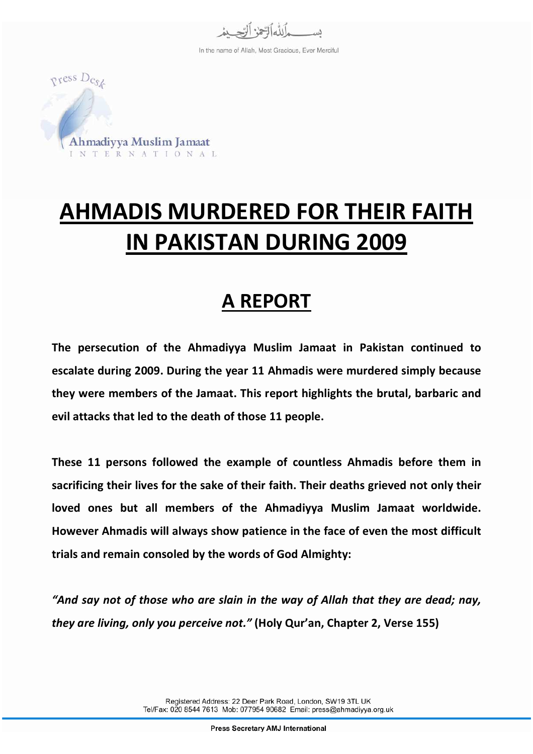

In the name of Allah, Most Gracious, Ever Merciful



# AHMADIS MURDERED FOR THEIR FAITH IN PAKISTAN DURING 2009

## A REPORT

The persecution of the Ahmadiyya Muslim Jamaat in Pakistan continued to escalate during 2009. During the year 11 Ahmadis were murdered simply because they were members of the Jamaat. This report highlights the brutal, barbaric and evil attacks that led to the death of those 11 people.

These 11 persons followed the example of countless Ahmadis before them in sacrificing their lives for the sake of their faith. Their deaths grieved not only their loved ones but all members of the Ahmadiyya Muslim Jamaat worldwide. However Ahmadis will always show patience in the face of even the most difficult trials and remain consoled by the words of God Almighty:

"And say not of those who are slain in the way of Allah that they are dead; nay, they are living, only you perceive not." (Holy Qur'an, Chapter 2, Verse 155)

> Registered Address: 22 Deer Park Road, London, SW19 3TL UK Tel/Fax: 020 8544 7613 Mob: 077954 90682 Email: press@ahmadiyya.org.uk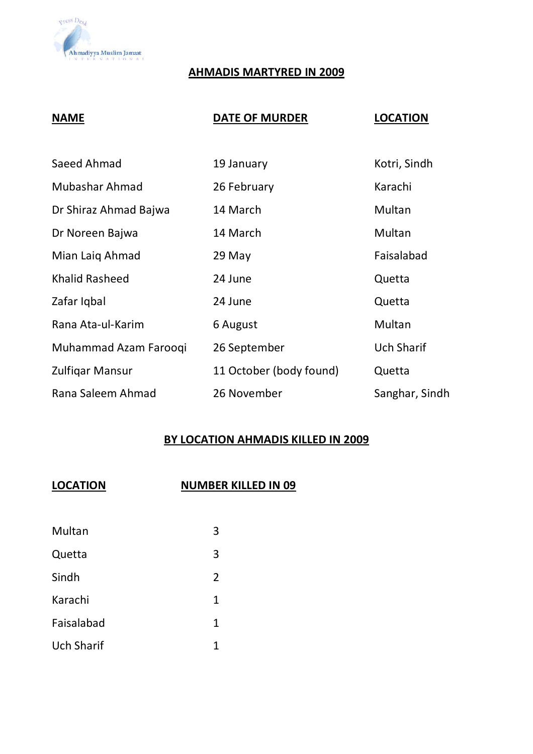

#### AHMADIS MARTYRED IN 2009

#### NAME DATE OF MURDER LOCATION

| Saeed Ahmad           | 19 January              | Kotri, Sindh      |
|-----------------------|-------------------------|-------------------|
| Mubashar Ahmad        | 26 February             | Karachi           |
| Dr Shiraz Ahmad Bajwa | 14 March                | Multan            |
| Dr Noreen Bajwa       | 14 March                | Multan            |
| Mian Laig Ahmad       | 29 May                  | Faisalabad        |
| <b>Khalid Rasheed</b> | 24 June                 | Quetta            |
| Zafar Igbal           | 24 June                 | Quetta            |
| Rana Ata-ul-Karim     | 6 August                | Multan            |
| Muhammad Azam Farooqi | 26 September            | <b>Uch Sharif</b> |
| Zulfigar Mansur       | 11 October (body found) | Quetta            |
| Rana Saleem Ahmad     | 26 November             | Sanghar, Sindh    |

#### BY LOCATION AHMADIS KILLED IN 2009

#### LOCATION NUMBER KILLED IN 09

| Multan            | 3              |
|-------------------|----------------|
| Quetta            | 3              |
| Sindh             | $\overline{2}$ |
| Karachi           | $\mathbf 1$    |
| Faisalabad        | $\mathbf 1$    |
| <b>Uch Sharif</b> | 1              |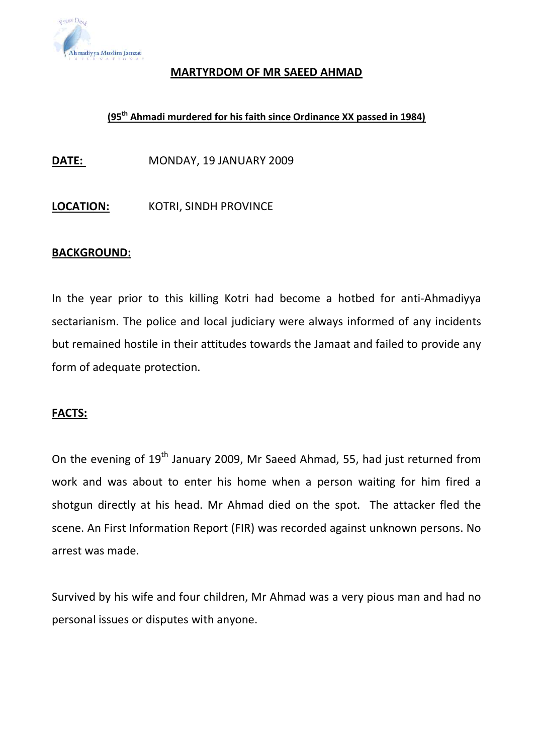

#### MARTYRDOM OF MR SAEED AHMAD

### (95th Ahmadi murdered for his faith since Ordinance XX passed in 1984)

DATE: MONDAY, 19 JANUARY 2009

LOCATION: KOTRI, SINDH PROVINCE

#### BACKGROUND:

In the year prior to this killing Kotri had become a hotbed for anti-Ahmadiyya sectarianism. The police and local judiciary were always informed of any incidents but remained hostile in their attitudes towards the Jamaat and failed to provide any form of adequate protection.

#### FACTS:

On the evening of 19<sup>th</sup> January 2009, Mr Saeed Ahmad, 55, had just returned from work and was about to enter his home when a person waiting for him fired a shotgun directly at his head. Mr Ahmad died on the spot. The attacker fled the scene. An First Information Report (FIR) was recorded against unknown persons. No arrest was made.

Survived by his wife and four children, Mr Ahmad was a very pious man and had no personal issues or disputes with anyone.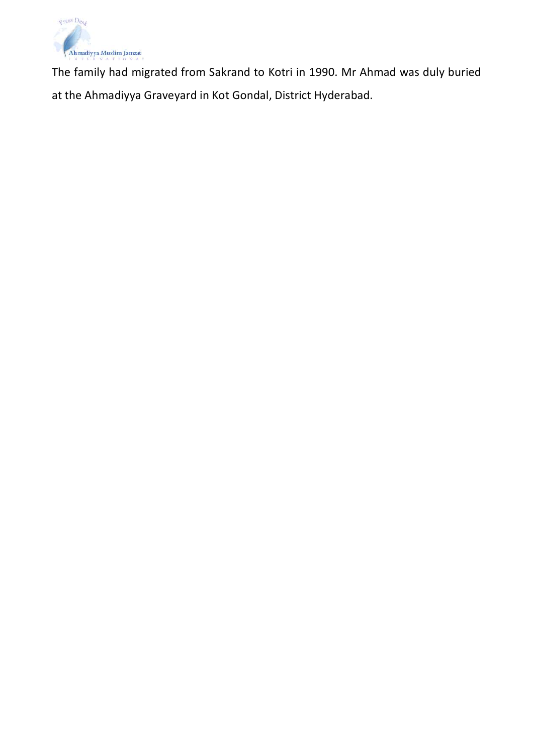

The family had migrated from Sakrand to Kotri in 1990. Mr Ahmad was duly buried at the Ahmadiyya Graveyard in Kot Gondal, District Hyderabad.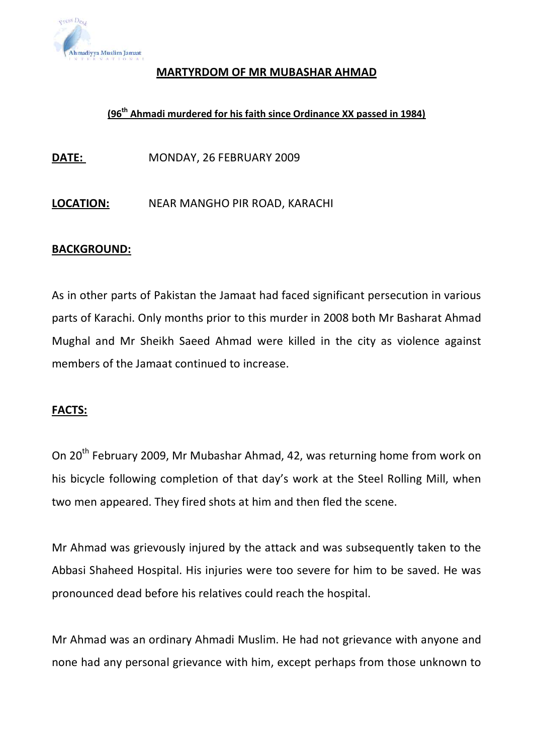

#### MARTYRDOM OF MR MUBASHAR AHMAD

#### (96th Ahmadi murdered for his faith since Ordinance XX passed in 1984)

DATE: MONDAY, 26 FEBRUARY 2009

LOCATION: NEAR MANGHO PIR ROAD, KARACHI

#### BACKGROUND:

As in other parts of Pakistan the Jamaat had faced significant persecution in various parts of Karachi. Only months prior to this murder in 2008 both Mr Basharat Ahmad Mughal and Mr Sheikh Saeed Ahmad were killed in the city as violence against members of the Jamaat continued to increase.

#### FACTS:

On 20th February 2009, Mr Mubashar Ahmad, 42, was returning home from work on his bicycle following completion of that day's work at the Steel Rolling Mill, when two men appeared. They fired shots at him and then fled the scene.

Mr Ahmad was grievously injured by the attack and was subsequently taken to the Abbasi Shaheed Hospital. His injuries were too severe for him to be saved. He was pronounced dead before his relatives could reach the hospital.

Mr Ahmad was an ordinary Ahmadi Muslim. He had not grievance with anyone and none had any personal grievance with him, except perhaps from those unknown to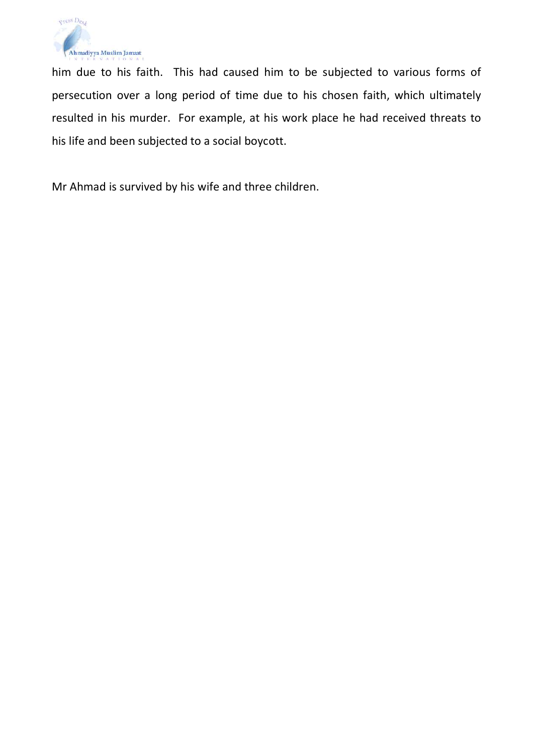

him due to his faith. This had caused him to be subjected to various forms of persecution over a long period of time due to his chosen faith, which ultimately resulted in his murder. For example, at his work place he had received threats to his life and been subjected to a social boycott.

Mr Ahmad is survived by his wife and three children.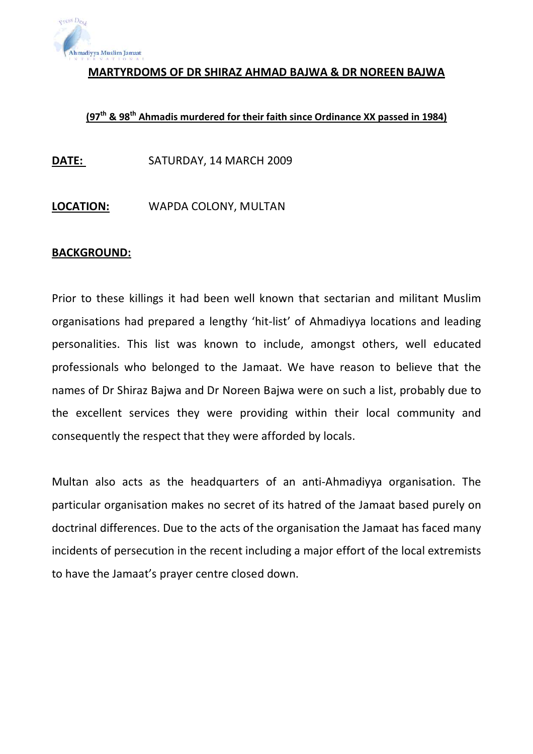

MARTYRDOMS OF DR SHIRAZ AHMAD BAJWA & DR NOREEN BAJWA

### (97<sup>th</sup> & 98<sup>th</sup> Ahmadis murdered for their faith since Ordinance XX passed in 1984)

DATE: SATURDAY, 14 MARCH 2009

LOCATION: WAPDA COLONY, MULTAN

#### BACKGROUND:

Prior to these killings it had been well known that sectarian and militant Muslim organisations had prepared a lengthy 'hit-list' of Ahmadiyya locations and leading personalities. This list was known to include, amongst others, well educated professionals who belonged to the Jamaat. We have reason to believe that the names of Dr Shiraz Bajwa and Dr Noreen Bajwa were on such a list, probably due to the excellent services they were providing within their local community and consequently the respect that they were afforded by locals.

Multan also acts as the headquarters of an anti-Ahmadiyya organisation. The particular organisation makes no secret of its hatred of the Jamaat based purely on doctrinal differences. Due to the acts of the organisation the Jamaat has faced many incidents of persecution in the recent including a major effort of the local extremists to have the Jamaat's prayer centre closed down.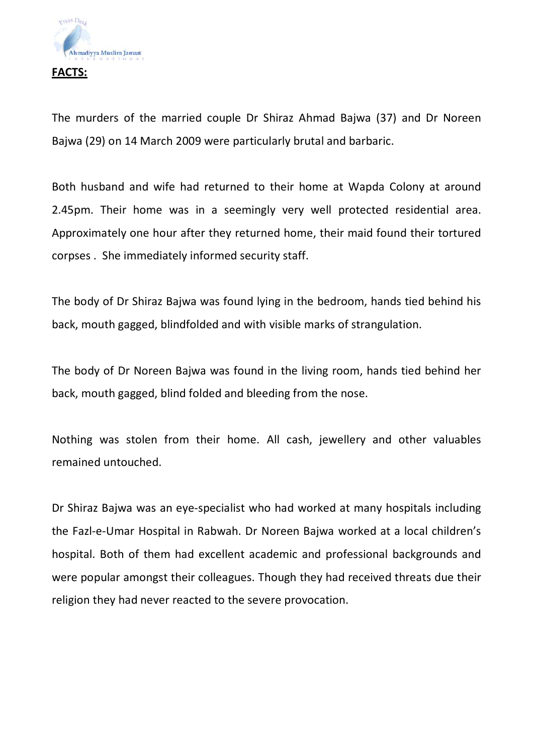

The murders of the married couple Dr Shiraz Ahmad Bajwa (37) and Dr Noreen Bajwa (29) on 14 March 2009 were particularly brutal and barbaric.

Both husband and wife had returned to their home at Wapda Colony at around 2.45pm. Their home was in a seemingly very well protected residential area. Approximately one hour after they returned home, their maid found their tortured corpses . She immediately informed security staff.

The body of Dr Shiraz Bajwa was found lying in the bedroom, hands tied behind his back, mouth gagged, blindfolded and with visible marks of strangulation.

The body of Dr Noreen Bajwa was found in the living room, hands tied behind her back, mouth gagged, blind folded and bleeding from the nose.

Nothing was stolen from their home. All cash, jewellery and other valuables remained untouched.

Dr Shiraz Bajwa was an eye-specialist who had worked at many hospitals including the Fazl-e-Umar Hospital in Rabwah. Dr Noreen Bajwa worked at a local children's hospital. Both of them had excellent academic and professional backgrounds and were popular amongst their colleagues. Though they had received threats due their religion they had never reacted to the severe provocation.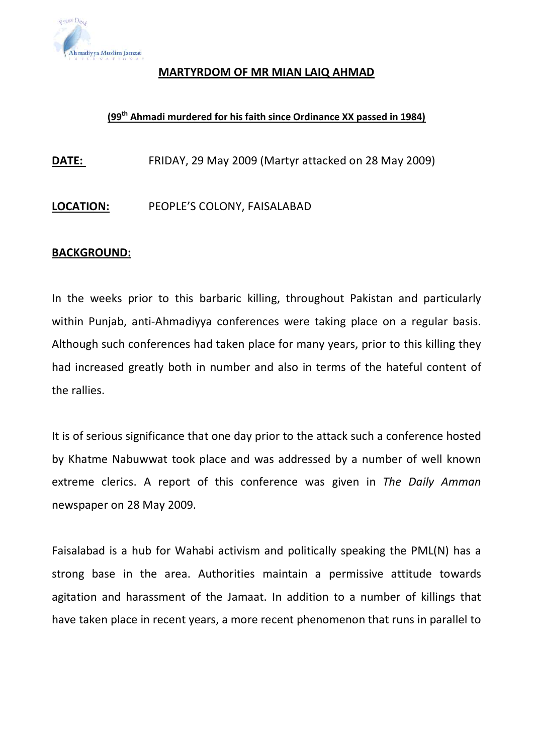

#### MARTYRDOM OF MR MIAN LAIQ AHMAD

#### (99<sup>th</sup> Ahmadi murdered for his faith since Ordinance XX passed in 1984)

DATE: FRIDAY, 29 May 2009 (Martyr attacked on 28 May 2009)

#### LOCATION: PEOPLE'S COLONY, FAISALABAD

#### BACKGROUND:

In the weeks prior to this barbaric killing, throughout Pakistan and particularly within Punjab, anti-Ahmadiyya conferences were taking place on a regular basis. Although such conferences had taken place for many years, prior to this killing they had increased greatly both in number and also in terms of the hateful content of the rallies.

It is of serious significance that one day prior to the attack such a conference hosted by Khatme Nabuwwat took place and was addressed by a number of well known extreme clerics. A report of this conference was given in The Daily Amman newspaper on 28 May 2009.

Faisalabad is a hub for Wahabi activism and politically speaking the PML(N) has a strong base in the area. Authorities maintain a permissive attitude towards agitation and harassment of the Jamaat. In addition to a number of killings that have taken place in recent years, a more recent phenomenon that runs in parallel to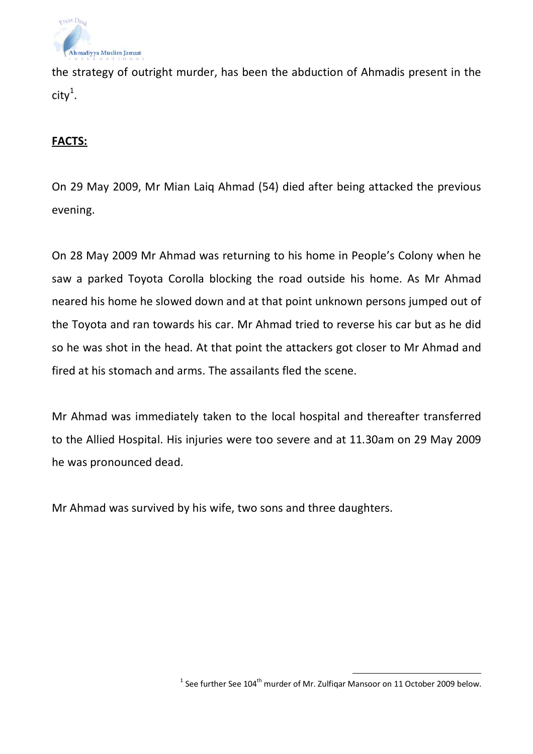

the strategy of outright murder, has been the abduction of Ahmadis present in the city $^1$ .

#### FACTS:

On 29 May 2009, Mr Mian Laiq Ahmad (54) died after being attacked the previous evening.

On 28 May 2009 Mr Ahmad was returning to his home in People's Colony when he saw a parked Toyota Corolla blocking the road outside his home. As Mr Ahmad neared his home he slowed down and at that point unknown persons jumped out of the Toyota and ran towards his car. Mr Ahmad tried to reverse his car but as he did so he was shot in the head. At that point the attackers got closer to Mr Ahmad and fired at his stomach and arms. The assailants fled the scene.

Mr Ahmad was immediately taken to the local hospital and thereafter transferred to the Allied Hospital. His injuries were too severe and at 11.30am on 29 May 2009 he was pronounced dead.

Mr Ahmad was survived by his wife, two sons and three daughters.

 $\overline{a}$ 

 $^1$  See further See 104<sup>th</sup> murder of Mr. Zulfiqar Mansoor on 11 October 2009 below.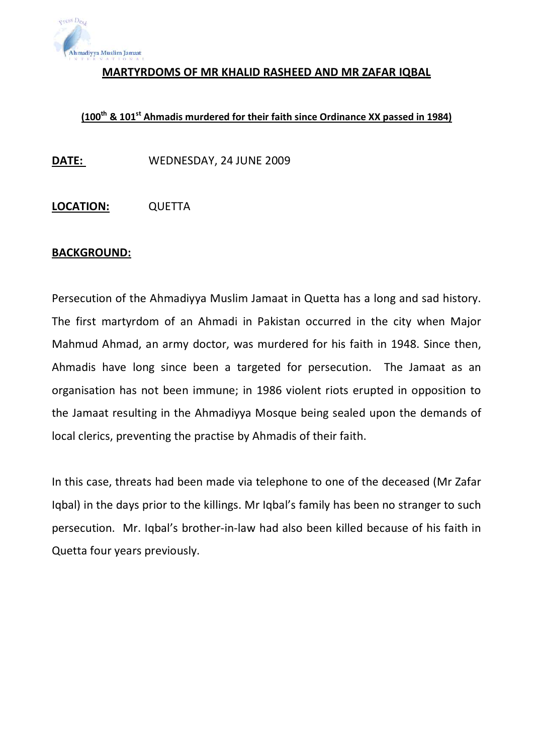

#### MARTYRDOMS OF MR KHALID RASHEED AND MR ZAFAR IQBAL

### (100<sup>th</sup> & 101<sup>st</sup> Ahmadis murdered for their faith since Ordinance XX passed in 1984)

DATE: WEDNESDAY, 24 JUNE 2009

LOCATION: QUETTA

#### BACKGROUND:

Persecution of the Ahmadiyya Muslim Jamaat in Quetta has a long and sad history. The first martyrdom of an Ahmadi in Pakistan occurred in the city when Major Mahmud Ahmad, an army doctor, was murdered for his faith in 1948. Since then, Ahmadis have long since been a targeted for persecution. The Jamaat as an organisation has not been immune; in 1986 violent riots erupted in opposition to the Jamaat resulting in the Ahmadiyya Mosque being sealed upon the demands of local clerics, preventing the practise by Ahmadis of their faith.

In this case, threats had been made via telephone to one of the deceased (Mr Zafar Iqbal) in the days prior to the killings. Mr Iqbal's family has been no stranger to such persecution. Mr. Iqbal's brother-in-law had also been killed because of his faith in Quetta four years previously.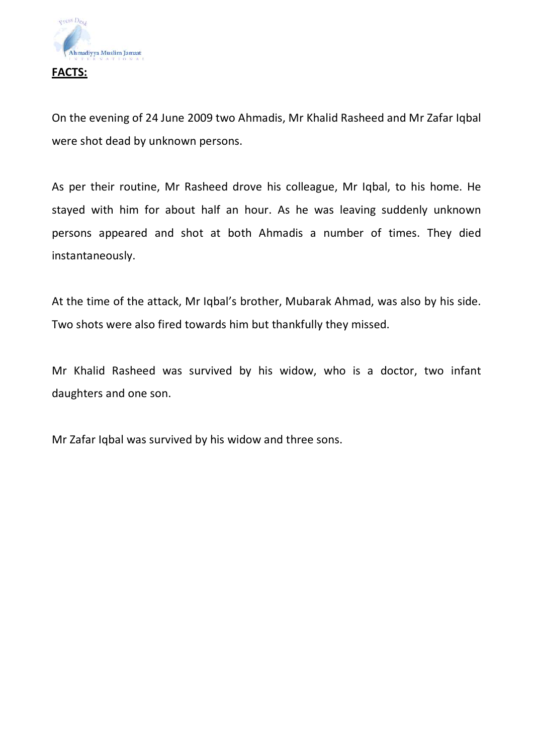

On the evening of 24 June 2009 two Ahmadis, Mr Khalid Rasheed and Mr Zafar Iqbal were shot dead by unknown persons.

As per their routine, Mr Rasheed drove his colleague, Mr Iqbal, to his home. He stayed with him for about half an hour. As he was leaving suddenly unknown persons appeared and shot at both Ahmadis a number of times. They died instantaneously.

At the time of the attack, Mr Iqbal's brother, Mubarak Ahmad, was also by his side. Two shots were also fired towards him but thankfully they missed.

Mr Khalid Rasheed was survived by his widow, who is a doctor, two infant daughters and one son.

Mr Zafar Iqbal was survived by his widow and three sons.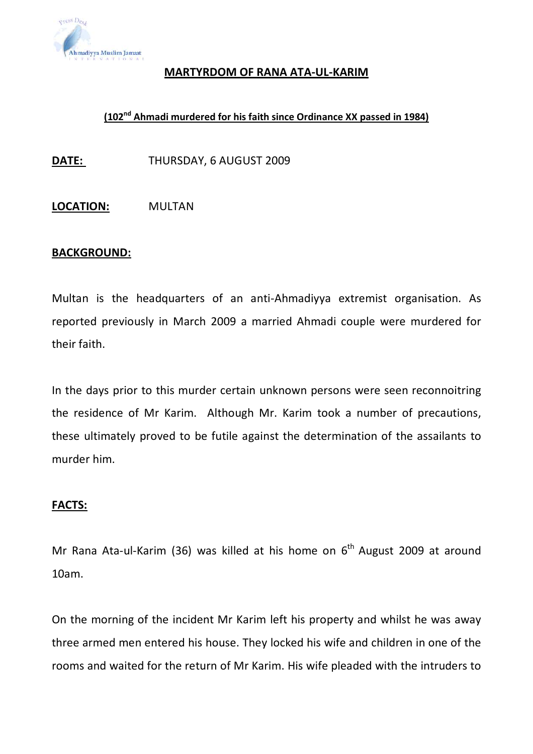

#### MARTYRDOM OF RANA ATA-UL-KARIM

#### (102nd Ahmadi murdered for his faith since Ordinance XX passed in 1984)

DATE: THURSDAY, 6 AUGUST 2009

LOCATION: MULTAN

#### BACKGROUND:

Multan is the headquarters of an anti-Ahmadiyya extremist organisation. As reported previously in March 2009 a married Ahmadi couple were murdered for their faith.

In the days prior to this murder certain unknown persons were seen reconnoitring the residence of Mr Karim. Although Mr. Karim took a number of precautions, these ultimately proved to be futile against the determination of the assailants to murder him.

#### FACTS:

Mr Rana Ata-ul-Karim (36) was killed at his home on  $6<sup>th</sup>$  August 2009 at around 10am.

On the morning of the incident Mr Karim left his property and whilst he was away three armed men entered his house. They locked his wife and children in one of the rooms and waited for the return of Mr Karim. His wife pleaded with the intruders to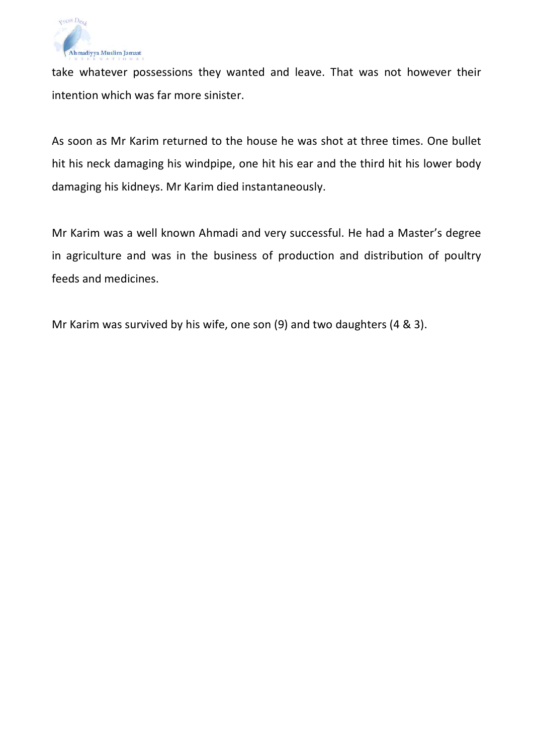

take whatever possessions they wanted and leave. That was not however their intention which was far more sinister.

As soon as Mr Karim returned to the house he was shot at three times. One bullet hit his neck damaging his windpipe, one hit his ear and the third hit his lower body damaging his kidneys. Mr Karim died instantaneously.

Mr Karim was a well known Ahmadi and very successful. He had a Master's degree in agriculture and was in the business of production and distribution of poultry feeds and medicines.

Mr Karim was survived by his wife, one son (9) and two daughters (4 & 3).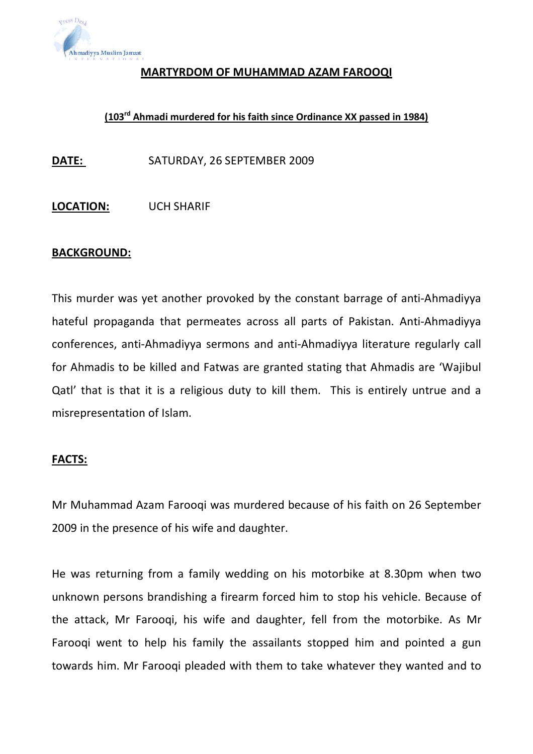

#### MARTYRDOM OF MUHAMMAD AZAM FAROOQI

### (103rd Ahmadi murdered for his faith since Ordinance XX passed in 1984)

DATE: SATURDAY, 26 SEPTEMBER 2009

#### LOCATION: UCH SHARIF

#### BACKGROUND:

This murder was yet another provoked by the constant barrage of anti-Ahmadiyya hateful propaganda that permeates across all parts of Pakistan. Anti-Ahmadiyya conferences, anti-Ahmadiyya sermons and anti-Ahmadiyya literature regularly call for Ahmadis to be killed and Fatwas are granted stating that Ahmadis are 'Wajibul Qatl' that is that it is a religious duty to kill them. This is entirely untrue and a misrepresentation of Islam.

#### FACTS:

Mr Muhammad Azam Farooqi was murdered because of his faith on 26 September 2009 in the presence of his wife and daughter.

He was returning from a family wedding on his motorbike at 8.30pm when two unknown persons brandishing a firearm forced him to stop his vehicle. Because of the attack, Mr Farooqi, his wife and daughter, fell from the motorbike. As Mr Farooqi went to help his family the assailants stopped him and pointed a gun towards him. Mr Farooqi pleaded with them to take whatever they wanted and to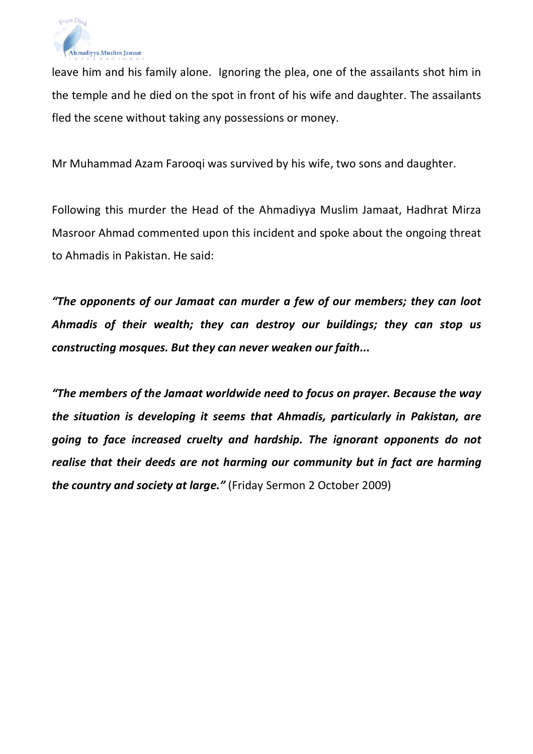

leave him and his family alone. Ignoring the plea, one of the assailants shot him in the temple and he died on the spot in front of his wife and daughter. The assailants fled the scene without taking any possessions or money.

Mr Muhammad Azam Farooqi was survived by his wife, two sons and daughter.

Following this murder the Head of the Ahmadiyya Muslim Jamaat, Hadhrat Mirza Masroor Ahmad commented upon this incident and spoke about the ongoing threat to Ahmadis in Pakistan. He said:

"The opponents of our Jamaat can murder a few of our members; they can loot Ahmadis of their wealth; they can destroy our buildings; they can stop us constructing mosques. But they can never weaken our faith...

"The members of the Jamaat worldwide need to focus on prayer. Because the way the situation is developing it seems that Ahmadis, particularly in Pakistan, are going to face increased cruelty and hardship. The ignorant opponents do not realise that their deeds are not harming our community but in fact are harming the country and society at large." (Friday Sermon 2 October 2009)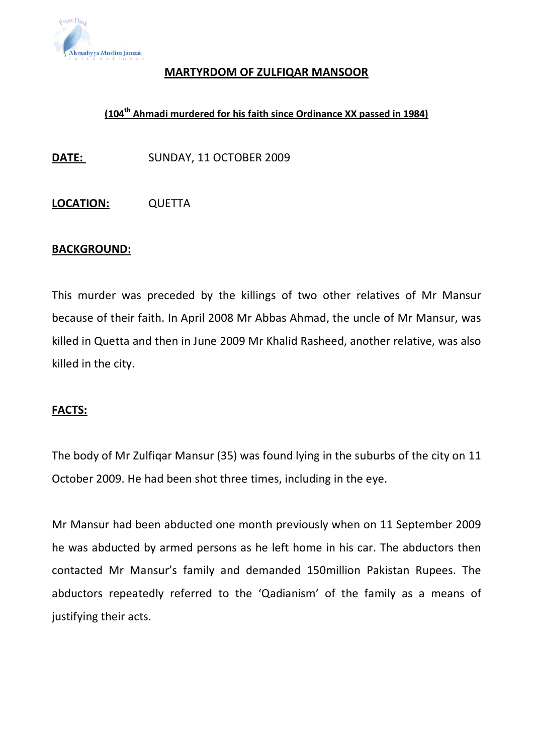

#### MARTYRDOM OF ZULFIQAR MANSOOR

#### (104th Ahmadi murdered for his faith since Ordinance XX passed in 1984)

DATE: SUNDAY, 11 OCTOBER 2009

LOCATION: QUETTA

#### BACKGROUND:

This murder was preceded by the killings of two other relatives of Mr Mansur because of their faith. In April 2008 Mr Abbas Ahmad, the uncle of Mr Mansur, was killed in Quetta and then in June 2009 Mr Khalid Rasheed, another relative, was also killed in the city.

#### FACTS:

The body of Mr Zulfiqar Mansur (35) was found lying in the suburbs of the city on 11 October 2009. He had been shot three times, including in the eye.

Mr Mansur had been abducted one month previously when on 11 September 2009 he was abducted by armed persons as he left home in his car. The abductors then contacted Mr Mansur's family and demanded 150million Pakistan Rupees. The abductors repeatedly referred to the 'Qadianism' of the family as a means of justifying their acts.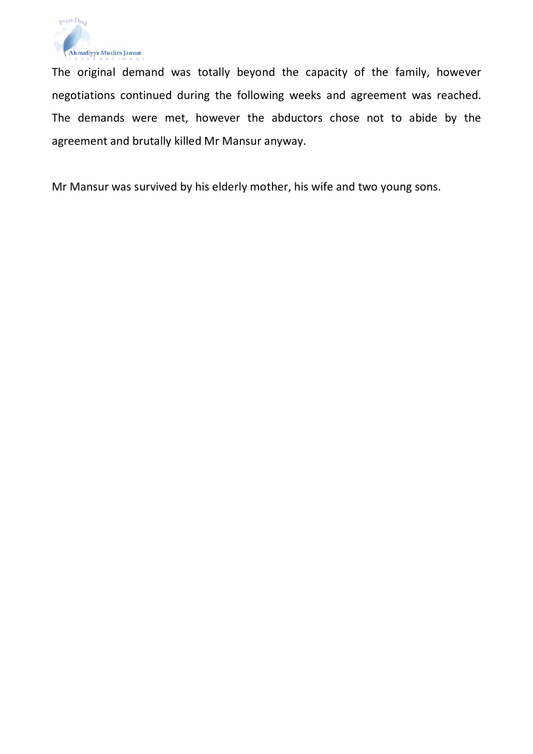

The original demand was totally beyond the capacity of the family, however negotiations continued during the following weeks and agreement was reached. The demands were met, however the abductors chose not to abide by the agreement and brutally killed Mr Mansur anyway.

Mr Mansur was survived by his elderly mother, his wife and two young sons.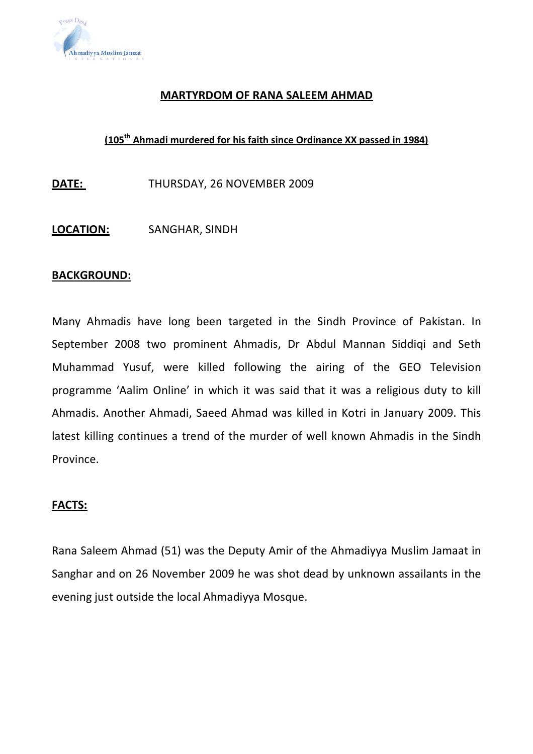

#### MARTYRDOM OF RANA SALEEM AHMAD

#### (105<sup>th</sup> Ahmadi murdered for his faith since Ordinance XX passed in 1984)

DATE: THURSDAY, 26 NOVEMBER 2009

LOCATION: SANGHAR, SINDH

#### BACKGROUND:

Many Ahmadis have long been targeted in the Sindh Province of Pakistan. In September 2008 two prominent Ahmadis, Dr Abdul Mannan Siddiqi and Seth Muhammad Yusuf, were killed following the airing of the GEO Television programme 'Aalim Online' in which it was said that it was a religious duty to kill Ahmadis. Another Ahmadi, Saeed Ahmad was killed in Kotri in January 2009. This latest killing continues a trend of the murder of well known Ahmadis in the Sindh Province.

#### FACTS:

Rana Saleem Ahmad (51) was the Deputy Amir of the Ahmadiyya Muslim Jamaat in Sanghar and on 26 November 2009 he was shot dead by unknown assailants in the evening just outside the local Ahmadiyya Mosque.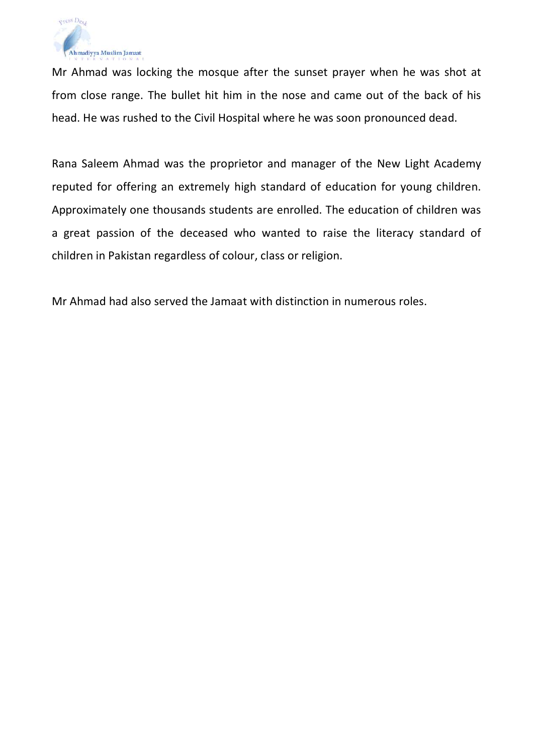

Mr Ahmad was locking the mosque after the sunset prayer when he was shot at from close range. The bullet hit him in the nose and came out of the back of his head. He was rushed to the Civil Hospital where he was soon pronounced dead.

Rana Saleem Ahmad was the proprietor and manager of the New Light Academy reputed for offering an extremely high standard of education for young children. Approximately one thousands students are enrolled. The education of children was a great passion of the deceased who wanted to raise the literacy standard of children in Pakistan regardless of colour, class or religion.

Mr Ahmad had also served the Jamaat with distinction in numerous roles.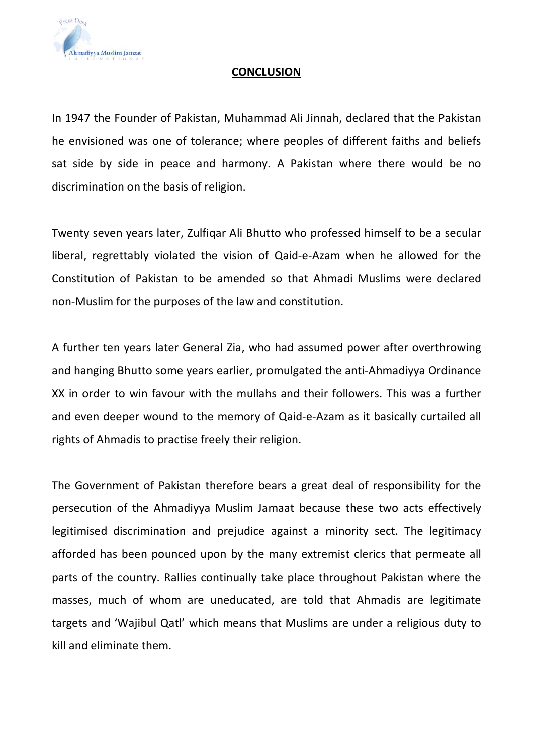

#### **CONCLUSION**

In 1947 the Founder of Pakistan, Muhammad Ali Jinnah, declared that the Pakistan he envisioned was one of tolerance; where peoples of different faiths and beliefs sat side by side in peace and harmony. A Pakistan where there would be no discrimination on the basis of religion.

Twenty seven years later, Zulfiqar Ali Bhutto who professed himself to be a secular liberal, regrettably violated the vision of Qaid-e-Azam when he allowed for the Constitution of Pakistan to be amended so that Ahmadi Muslims were declared non-Muslim for the purposes of the law and constitution.

A further ten years later General Zia, who had assumed power after overthrowing and hanging Bhutto some years earlier, promulgated the anti-Ahmadiyya Ordinance XX in order to win favour with the mullahs and their followers. This was a further and even deeper wound to the memory of Qaid-e-Azam as it basically curtailed all rights of Ahmadis to practise freely their religion.

The Government of Pakistan therefore bears a great deal of responsibility for the persecution of the Ahmadiyya Muslim Jamaat because these two acts effectively legitimised discrimination and prejudice against a minority sect. The legitimacy afforded has been pounced upon by the many extremist clerics that permeate all parts of the country. Rallies continually take place throughout Pakistan where the masses, much of whom are uneducated, are told that Ahmadis are legitimate targets and 'Wajibul Qatl' which means that Muslims are under a religious duty to kill and eliminate them.